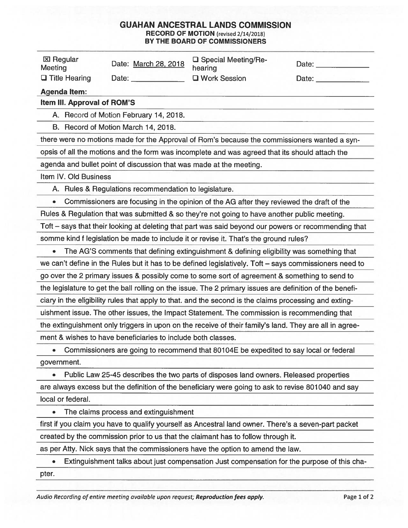## GUAHAN ANCESTRAL LANDS COMMISSION RECORD OF MOTION (revised 2/14/2018) BY THE BOARD OF COMMISSIONERS

| <b>GUAHAN ANCESTRAL LANDS COMMISSION</b><br><b>RECORD OF MOTION</b> (revised 2/14/2018)<br>BY THE BOARD OF COMMISSIONERS |                                        |                                  |       |  |  |
|--------------------------------------------------------------------------------------------------------------------------|----------------------------------------|----------------------------------|-------|--|--|
| <b>区 Regular</b><br>Meeting                                                                                              | Date: March 28, 2018                   | □ Special Meeting/Re-<br>hearing | Date: |  |  |
| $\Box$ Title Hearing                                                                                                     | Date:                                  | <b>U</b> Work Session            | Date: |  |  |
| <b>Agenda Item:</b>                                                                                                      |                                        |                                  |       |  |  |
| Item III. Approval of ROM'S                                                                                              |                                        |                                  |       |  |  |
|                                                                                                                          | A. Record of Motion February 14, 2018. |                                  |       |  |  |
|                                                                                                                          | B. Record of Motion March 14, 2018.    |                                  |       |  |  |
|                                                                                                                          |                                        |                                  |       |  |  |

there were no motions made for the Approval of Rom's because the commissioners wanted a syn opsis of all the motions and the form was incomplete and was agreed that its should attach the

agenda and bullet point of discussion that was made at the meeting.

Item IV. Old Business

A. Rules & Regulations recommendation to legislature.

• Commissioners are focusing in the opinion of the AG after they reviewed the draft of the

Rules & Regulation that was submitted & so they're not going to have another public meeting.

Toft — says that their looking at deleting that part was said beyond our powers or recommending that somme kind <sup>f</sup> legislation be made to include it or revise it. That's the ground rules?

- The AG'S comments that defining extinguishment & defining eligibility was something that we can't define in the Rules but it has to be defined legislatively. Toft — says commissioners need to go over the 2 primary issues & possibly come to some sort of agreement & something to send to the legislature to get the ball rolling on the issue. The 2 primary issues are definition of the benefi ciary in the eligibility rules that apply to that. and the second is the claims processing and exting uishment issue. The other issues, the Impact Statement. The commission is recommending that the extinguishment only triggers in upon on the receive of their family's land. They are all in agree ment & wishes to have beneficiaries to include both classes.
- Commissioners are going to recommend that 80104E be expedited to say local or federal government.

• Public Law 25-45 describes the two parts of disposes land owners. Released properties are always excess but the definition of the beneficiary were going to ask to revise 801040 and say local or federal.

The claims process and extinguishment

first if you claim you have to qualify yourself as Ancestral land owner. There's a seven-part packet created by the commission prior to us that the claimant has to follow through it.

as per Atty. Nick says that the commissioners have the option to amend the law.

• Extinguishment talks about just compensation Just compensation for the purpose of this cha pter.